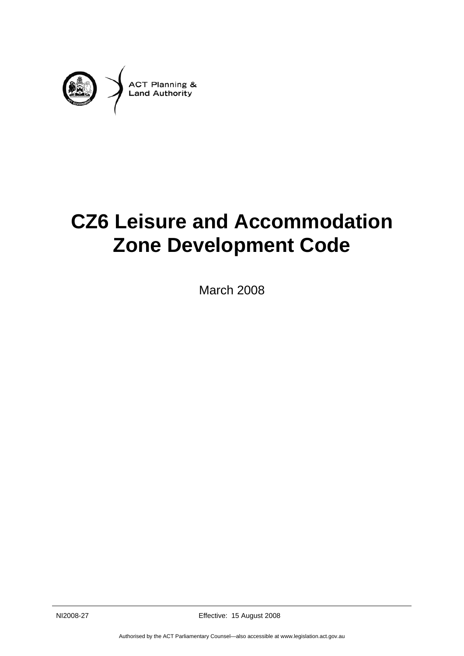

# **CZ6 Leisure and Accommodation Zone Development Code**

March 2008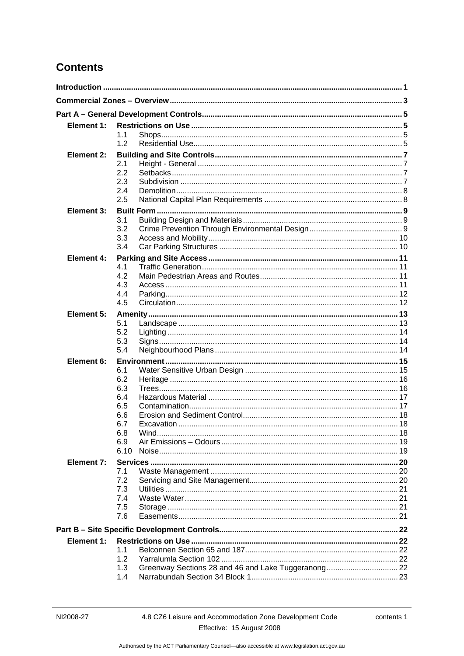# **Contents**

| Element 1:        |            |  |  |
|-------------------|------------|--|--|
|                   | 1.1        |  |  |
|                   | 1.2        |  |  |
| <b>Element 2:</b> |            |  |  |
|                   | 2.1        |  |  |
|                   | 2.2        |  |  |
|                   | 2.3<br>2.4 |  |  |
|                   | 2.5        |  |  |
|                   |            |  |  |
| Element 3:        | 3.1        |  |  |
|                   | 3.2        |  |  |
|                   | 3.3        |  |  |
|                   | 3.4        |  |  |
| Element 4:        |            |  |  |
|                   | 4.1        |  |  |
|                   | 4.2        |  |  |
|                   | 4.3        |  |  |
|                   | 4.4        |  |  |
|                   | 4.5        |  |  |
| Element 5:        |            |  |  |
|                   | 5.1<br>5.2 |  |  |
|                   | 5.3        |  |  |
|                   | 5.4        |  |  |
| Element 6:        |            |  |  |
|                   | 6.1        |  |  |
|                   | 6.2        |  |  |
|                   | 6.3        |  |  |
|                   | 6.4        |  |  |
|                   | 6.5        |  |  |
|                   | 6.6<br>6.7 |  |  |
|                   | 6.8        |  |  |
|                   | 6.9        |  |  |
|                   | 6.10       |  |  |
| Element 7:        |            |  |  |
|                   | 7.1        |  |  |
|                   | 7.2        |  |  |
|                   | 7.3        |  |  |
|                   | 7.4        |  |  |
|                   | 7.5<br>7.6 |  |  |
|                   |            |  |  |
|                   |            |  |  |
| Element 1:        |            |  |  |
|                   | 11<br>1.2  |  |  |
|                   | 1.3        |  |  |
|                   | 1.4        |  |  |
|                   |            |  |  |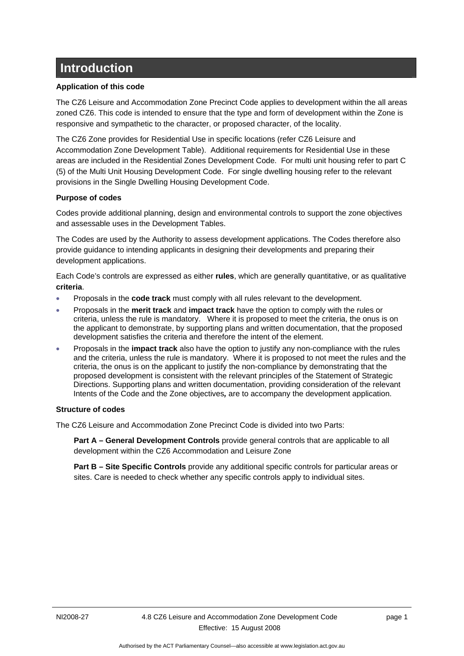# <span id="page-4-0"></span>**Introduction**

#### **Application of this code**

The CZ6 Leisure and Accommodation Zone Precinct Code applies to development within the all areas zoned CZ6. This code is intended to ensure that the type and form of development within the Zone is responsive and sympathetic to the character, or proposed character, of the locality.

The CZ6 Zone provides for Residential Use in specific locations (refer CZ6 Leisure and Accommodation Zone Development Table). Additional requirements for Residential Use in these areas are included in the Residential Zones Development Code. For multi unit housing refer to part C (5) of the Multi Unit Housing Development Code. For single dwelling housing refer to the relevant provisions in the Single Dwelling Housing Development Code.

# **Purpose of codes**

Codes provide additional planning, design and environmental controls to support the zone objectives and assessable uses in the Development Tables.

The Codes are used by the Authority to assess development applications. The Codes therefore also provide guidance to intending applicants in designing their developments and preparing their development applications.

Each Code's controls are expressed as either **rules**, which are generally quantitative, or as qualitative **criteria**.

- Proposals in the **code track** must comply with all rules relevant to the development.
- Proposals in the **merit track** and **impact track** have the option to comply with the rules or criteria, unless the rule is mandatory. Where it is proposed to meet the criteria, the onus is on the applicant to demonstrate, by supporting plans and written documentation, that the proposed development satisfies the criteria and therefore the intent of the element.
- Proposals in the **impact track** also have the option to justify any non-compliance with the rules and the criteria, unless the rule is mandatory. Where it is proposed to not meet the rules and the criteria, the onus is on the applicant to justify the non-compliance by demonstrating that the proposed development is consistent with the relevant principles of the Statement of Strategic Directions. Supporting plans and written documentation, providing consideration of the relevant Intents of the Code and the Zone objectives*,* are to accompany the development application.

#### **Structure of codes**

The CZ6 Leisure and Accommodation Zone Precinct Code is divided into two Parts:

**Part A – General Development Controls** provide general controls that are applicable to all development within the CZ6 Accommodation and Leisure Zone

**Part B – Site Specific Controls** provide any additional specific controls for particular areas or sites. Care is needed to check whether any specific controls apply to individual sites.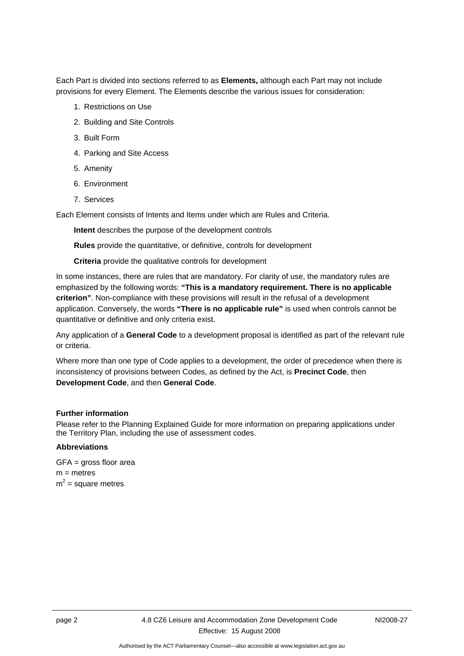Each Part is divided into sections referred to as **Elements,** although each Part may not include provisions for every Element. The Elements describe the various issues for consideration:

- 1. Restrictions on Use
- 2. Building and Site Controls
- 3. Built Form
- 4. Parking and Site Access
- 5. Amenity
- 6. Environment
- 7. Services

Each Element consists of Intents and Items under which are Rules and Criteria.

**Intent** describes the purpose of the development controls

**Rules** provide the quantitative, or definitive, controls for development

**Criteria** provide the qualitative controls for development

In some instances, there are rules that are mandatory. For clarity of use, the mandatory rules are emphasized by the following words: **"This is a mandatory requirement. There is no applicable criterion"**. Non-compliance with these provisions will result in the refusal of a development application. Conversely, the words **"There is no applicable rule"** is used when controls cannot be quantitative or definitive and only criteria exist.

Any application of a **General Code** to a development proposal is identified as part of the relevant rule or criteria.

Where more than one type of Code applies to a development, the order of precedence when there is inconsistency of provisions between Codes, as defined by the Act, is **Precinct Code**, then **Development Code**, and then **General Code**.

#### **Further information**

Please refer to the Planning Explained Guide for more information on preparing applications under the Territory Plan, including the use of assessment codes.

#### **Abbreviations**

GFA = gross floor area  $m =$  metres  $m^2$  = square metres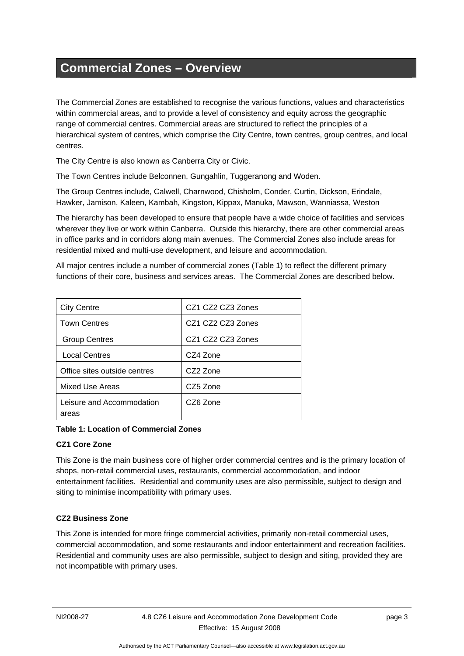# <span id="page-6-0"></span>**Commercial Zones – Overview**

The Commercial Zones are established to recognise the various functions, values and characteristics within commercial areas, and to provide a level of consistency and equity across the geographic range of commercial centres. Commercial areas are structured to reflect the principles of a hierarchical system of centres, which comprise the City Centre, town centres, group centres, and local centres.

The City Centre is also known as Canberra City or Civic.

The Town Centres include Belconnen, Gungahlin, Tuggeranong and Woden.

The Group Centres include, Calwell, Charnwood, Chisholm, Conder, Curtin, Dickson, Erindale, Hawker, Jamison, Kaleen, Kambah, Kingston, Kippax, Manuka, Mawson, Wanniassa, Weston

The hierarchy has been developed to ensure that people have a wide choice of facilities and services wherever they live or work within Canberra. Outside this hierarchy, there are other commercial areas in office parks and in corridors along main avenues. The Commercial Zones also include areas for residential mixed and multi-use development, and leisure and accommodation.

All major centres include a number of commercial zones (Table 1) to reflect the different primary functions of their core, business and services areas. The Commercial Zones are described below.

| <b>City Centre</b>                 | CZ1 CZ2 CZ3 Zones |
|------------------------------------|-------------------|
| <b>Town Centres</b>                | CZ1 CZ2 CZ3 Zones |
| <b>Group Centres</b>               | CZ1 CZ2 CZ3 Zones |
| <b>Local Centres</b>               | CZ4 Zone          |
| Office sites outside centres       | CZ2 Zone          |
| Mixed Use Areas                    | CZ5 Zone          |
| Leisure and Accommodation<br>areas | CZ6 Zone          |

**Table 1: Location of Commercial Zones** 

# **CZ1 Core Zone**

This Zone is the main business core of higher order commercial centres and is the primary location of shops, non-retail commercial uses, restaurants, commercial accommodation, and indoor entertainment facilities. Residential and community uses are also permissible, subject to design and siting to minimise incompatibility with primary uses.

# **CZ2 Business Zone**

This Zone is intended for more fringe commercial activities, primarily non-retail commercial uses, commercial accommodation, and some restaurants and indoor entertainment and recreation facilities. Residential and community uses are also permissible, subject to design and siting, provided they are not incompatible with primary uses.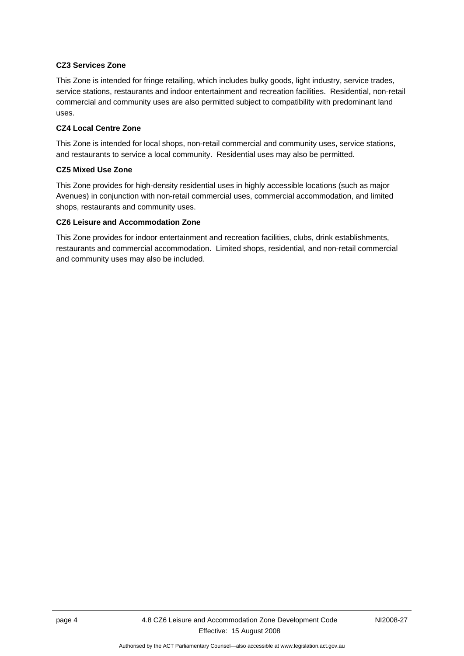#### **CZ3 Services Zone**

This Zone is intended for fringe retailing, which includes bulky goods, light industry, service trades, service stations, restaurants and indoor entertainment and recreation facilities. Residential, non-retail commercial and community uses are also permitted subject to compatibility with predominant land uses.

### **CZ4 Local Centre Zone**

This Zone is intended for local shops, non-retail commercial and community uses, service stations, and restaurants to service a local community. Residential uses may also be permitted.

#### **CZ5 Mixed Use Zone**

This Zone provides for high-density residential uses in highly accessible locations (such as major Avenues) in conjunction with non-retail commercial uses, commercial accommodation, and limited shops, restaurants and community uses.

#### **CZ6 Leisure and Accommodation Zone**

This Zone provides for indoor entertainment and recreation facilities, clubs, drink establishments, restaurants and commercial accommodation. Limited shops, residential, and non-retail commercial and community uses may also be included.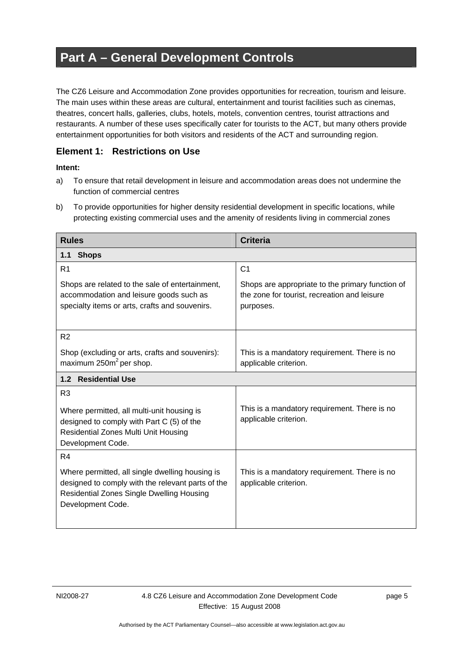# <span id="page-8-0"></span>**Part A – General Development Controls**

The CZ6 Leisure and Accommodation Zone provides opportunities for recreation, tourism and leisure. The main uses within these areas are cultural, entertainment and tourist facilities such as cinemas, theatres, concert halls, galleries, clubs, hotels, motels, convention centres, tourist attractions and restaurants. A number of these uses specifically cater for tourists to the ACT, but many others provide entertainment opportunities for both visitors and residents of the ACT and surrounding region.

# **Element 1: Restrictions on Use**

- a) To ensure that retail development in leisure and accommodation areas does not undermine the function of commercial centres
- b) To provide opportunities for higher density residential development in specific locations, while protecting existing commercial uses and the amenity of residents living in commercial zones

| <b>Rules</b>                                                                                                                                                                  | <b>Criteria</b>                                                                                               |  |  |
|-------------------------------------------------------------------------------------------------------------------------------------------------------------------------------|---------------------------------------------------------------------------------------------------------------|--|--|
| <b>Shops</b><br>1.1                                                                                                                                                           |                                                                                                               |  |  |
| R <sub>1</sub>                                                                                                                                                                | C <sub>1</sub>                                                                                                |  |  |
| Shops are related to the sale of entertainment,<br>accommodation and leisure goods such as<br>specialty items or arts, crafts and souvenirs.                                  | Shops are appropriate to the primary function of<br>the zone for tourist, recreation and leisure<br>purposes. |  |  |
| R <sub>2</sub>                                                                                                                                                                |                                                                                                               |  |  |
| Shop (excluding or arts, crafts and souvenirs):<br>maximum 250m <sup>2</sup> per shop.                                                                                        | This is a mandatory requirement. There is no<br>applicable criterion.                                         |  |  |
| 1.2 Residential Use                                                                                                                                                           |                                                                                                               |  |  |
| R <sub>3</sub><br>Where permitted, all multi-unit housing is<br>designed to comply with Part C (5) of the<br><b>Residential Zones Multi Unit Housing</b><br>Development Code. | This is a mandatory requirement. There is no<br>applicable criterion.                                         |  |  |
| R <sub>4</sub>                                                                                                                                                                |                                                                                                               |  |  |
| Where permitted, all single dwelling housing is<br>designed to comply with the relevant parts of the<br><b>Residential Zones Single Dwelling Housing</b><br>Development Code. | This is a mandatory requirement. There is no<br>applicable criterion.                                         |  |  |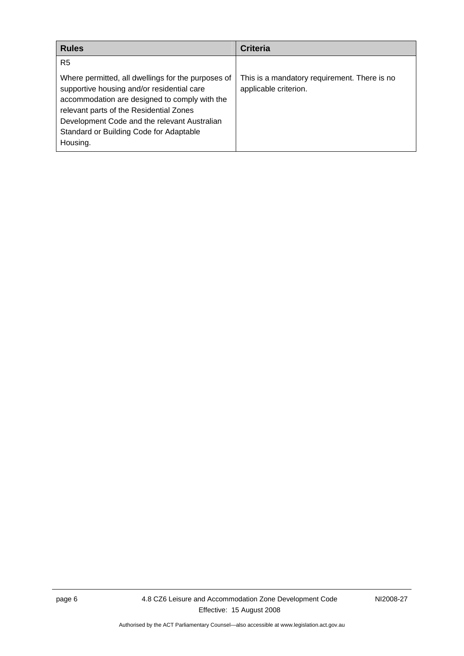| <b>Rules</b>                                                                                                                                                                                                                                                                                        | <b>Criteria</b>                                                       |
|-----------------------------------------------------------------------------------------------------------------------------------------------------------------------------------------------------------------------------------------------------------------------------------------------------|-----------------------------------------------------------------------|
| R <sub>5</sub>                                                                                                                                                                                                                                                                                      |                                                                       |
| Where permitted, all dwellings for the purposes of<br>supportive housing and/or residential care<br>accommodation are designed to comply with the<br>relevant parts of the Residential Zones<br>Development Code and the relevant Australian<br>Standard or Building Code for Adaptable<br>Housing. | This is a mandatory requirement. There is no<br>applicable criterion. |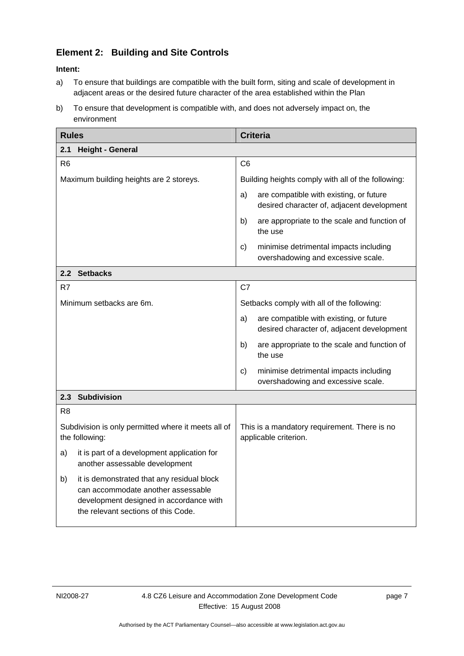# <span id="page-10-0"></span>**Element 2: Building and Site Controls**

- a) To ensure that buildings are compatible with the built form, siting and scale of development in adjacent areas or the desired future character of the area established within the Plan
- b) To ensure that development is compatible with, and does not adversely impact on, the environment

| <b>Rules</b>                                                                                                                                                             | <b>Criteria</b>                                                                             |
|--------------------------------------------------------------------------------------------------------------------------------------------------------------------------|---------------------------------------------------------------------------------------------|
| 2.1<br><b>Height - General</b>                                                                                                                                           |                                                                                             |
| R <sub>6</sub>                                                                                                                                                           | C <sub>6</sub>                                                                              |
| Maximum building heights are 2 storeys.                                                                                                                                  | Building heights comply with all of the following:                                          |
|                                                                                                                                                                          | are compatible with existing, or future<br>a)<br>desired character of, adjacent development |
|                                                                                                                                                                          | b)<br>are appropriate to the scale and function of<br>the use                               |
|                                                                                                                                                                          | minimise detrimental impacts including<br>c)<br>overshadowing and excessive scale.          |
| 2.2 Setbacks                                                                                                                                                             |                                                                                             |
| R7                                                                                                                                                                       | C7                                                                                          |
| Minimum setbacks are 6m.                                                                                                                                                 | Setbacks comply with all of the following:                                                  |
|                                                                                                                                                                          | are compatible with existing, or future<br>a)<br>desired character of, adjacent development |
|                                                                                                                                                                          | b)<br>are appropriate to the scale and function of<br>the use                               |
|                                                                                                                                                                          | minimise detrimental impacts including<br>c)<br>overshadowing and excessive scale.          |
| 2.3 Subdivision                                                                                                                                                          |                                                                                             |
| R <sub>8</sub>                                                                                                                                                           |                                                                                             |
| Subdivision is only permitted where it meets all of<br>the following:                                                                                                    | This is a mandatory requirement. There is no<br>applicable criterion.                       |
| it is part of a development application for<br>a)<br>another assessable development                                                                                      |                                                                                             |
| it is demonstrated that any residual block<br>b)<br>can accommodate another assessable<br>development designed in accordance with<br>the relevant sections of this Code. |                                                                                             |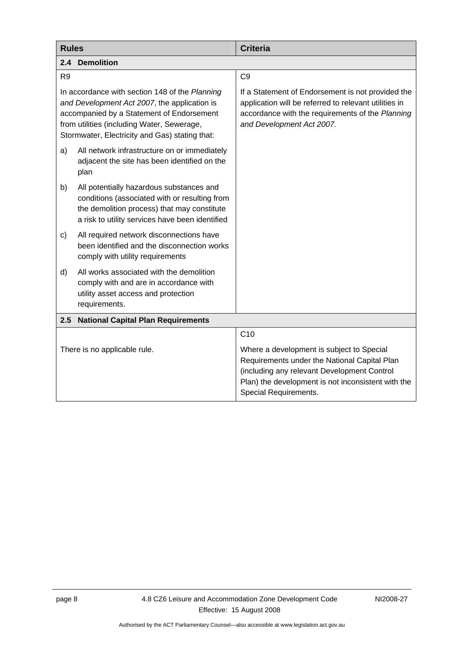<span id="page-11-0"></span>

| <b>Rules</b>                                                                                                                                                                                                                                | <b>Criteria</b>                                                                                                                                                                                                         |  |  |
|---------------------------------------------------------------------------------------------------------------------------------------------------------------------------------------------------------------------------------------------|-------------------------------------------------------------------------------------------------------------------------------------------------------------------------------------------------------------------------|--|--|
| <b>Demolition</b><br>2.4                                                                                                                                                                                                                    |                                                                                                                                                                                                                         |  |  |
| R <sub>9</sub>                                                                                                                                                                                                                              | C <sub>9</sub>                                                                                                                                                                                                          |  |  |
| In accordance with section 148 of the Planning<br>and Development Act 2007, the application is<br>accompanied by a Statement of Endorsement<br>from utilities (including Water, Sewerage,<br>Stormwater, Electricity and Gas) stating that: | If a Statement of Endorsement is not provided the<br>application will be referred to relevant utilities in<br>accordance with the requirements of the Planning<br>and Development Act 2007.                             |  |  |
| All network infrastructure on or immediately<br>a)<br>adjacent the site has been identified on the<br>plan                                                                                                                                  |                                                                                                                                                                                                                         |  |  |
| b)<br>All potentially hazardous substances and<br>conditions (associated with or resulting from<br>the demolition process) that may constitute<br>a risk to utility services have been identified                                           |                                                                                                                                                                                                                         |  |  |
| All required network disconnections have<br>c)<br>been identified and the disconnection works<br>comply with utility requirements                                                                                                           |                                                                                                                                                                                                                         |  |  |
| All works associated with the demolition<br>d)<br>comply with and are in accordance with<br>utility asset access and protection<br>requirements.                                                                                            |                                                                                                                                                                                                                         |  |  |
| <b>National Capital Plan Requirements</b><br>$2.5^{\circ}$                                                                                                                                                                                  |                                                                                                                                                                                                                         |  |  |
|                                                                                                                                                                                                                                             | C <sub>10</sub>                                                                                                                                                                                                         |  |  |
| There is no applicable rule.                                                                                                                                                                                                                | Where a development is subject to Special<br>Requirements under the National Capital Plan<br>(including any relevant Development Control<br>Plan) the development is not inconsistent with the<br>Special Requirements. |  |  |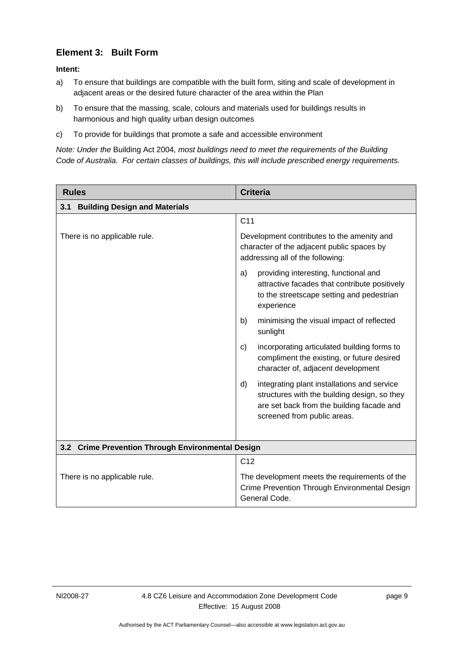# <span id="page-12-0"></span>**Element 3: Built Form**

#### **Intent:**

- a) To ensure that buildings are compatible with the built form, siting and scale of development in adjacent areas or the desired future character of the area within the Plan
- b) To ensure that the massing, scale, colours and materials used for buildings results in harmonious and high quality urban design outcomes
- c) To provide for buildings that promote a safe and accessible environment

*Note: Under the* Building Act 2004*, most buildings need to meet the requirements of the Building Code of Australia. For certain classes of buildings, this will include prescribed energy requirements.* 

| <b>Rules</b>                                      | <b>Criteria</b>                                                                                                                                                               |
|---------------------------------------------------|-------------------------------------------------------------------------------------------------------------------------------------------------------------------------------|
| <b>Building Design and Materials</b><br>3.1       |                                                                                                                                                                               |
|                                                   | C <sub>11</sub>                                                                                                                                                               |
| There is no applicable rule.                      | Development contributes to the amenity and<br>character of the adjacent public spaces by<br>addressing all of the following:                                                  |
|                                                   | providing interesting, functional and<br>a)<br>attractive facades that contribute positively<br>to the streetscape setting and pedestrian<br>experience                       |
|                                                   | minimising the visual impact of reflected<br>b)<br>sunlight                                                                                                                   |
|                                                   | incorporating articulated building forms to<br>$\mathsf{C}$<br>compliment the existing, or future desired<br>character of, adjacent development                               |
|                                                   | integrating plant installations and service<br>d)<br>structures with the building design, so they<br>are set back from the building facade and<br>screened from public areas. |
| 3.2 Crime Prevention Through Environmental Design |                                                                                                                                                                               |
|                                                   | C <sub>12</sub>                                                                                                                                                               |
| There is no applicable rule.                      | The development meets the requirements of the<br>Crime Prevention Through Environmental Design<br>General Code.                                                               |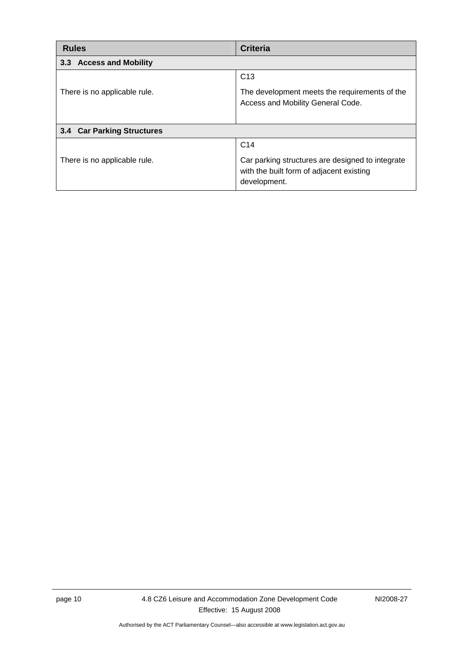<span id="page-13-0"></span>

| <b>Rules</b>                      | <b>Criteria</b>                                                                                                                 |  |  |
|-----------------------------------|---------------------------------------------------------------------------------------------------------------------------------|--|--|
| 3.3 Access and Mobility           |                                                                                                                                 |  |  |
| There is no applicable rule.      | C <sub>13</sub><br>The development meets the requirements of the<br>Access and Mobility General Code.                           |  |  |
| <b>3.4 Car Parking Structures</b> |                                                                                                                                 |  |  |
| There is no applicable rule.      | C <sub>14</sub><br>Car parking structures are designed to integrate<br>with the built form of adjacent existing<br>development. |  |  |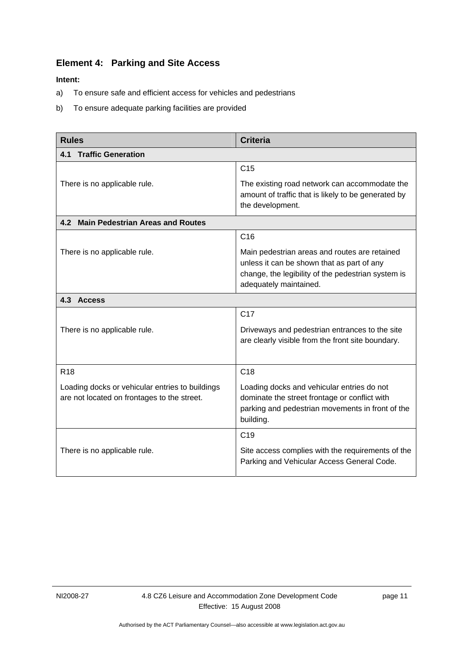# <span id="page-14-0"></span>**Element 4: Parking and Site Access**

- a) To ensure safe and efficient access for vehicles and pedestrians
- b) To ensure adequate parking facilities are provided

| <b>Rules</b>                                                                                   | <b>Criteria</b>                                                                                                                                                             |  |  |
|------------------------------------------------------------------------------------------------|-----------------------------------------------------------------------------------------------------------------------------------------------------------------------------|--|--|
| <b>Traffic Generation</b><br>4.1                                                               |                                                                                                                                                                             |  |  |
|                                                                                                | C <sub>15</sub>                                                                                                                                                             |  |  |
| There is no applicable rule.                                                                   | The existing road network can accommodate the<br>amount of traffic that is likely to be generated by<br>the development.                                                    |  |  |
| 4.2 Main Pedestrian Areas and Routes                                                           |                                                                                                                                                                             |  |  |
|                                                                                                | C16                                                                                                                                                                         |  |  |
| There is no applicable rule.                                                                   | Main pedestrian areas and routes are retained<br>unless it can be shown that as part of any<br>change, the legibility of the pedestrian system is<br>adequately maintained. |  |  |
| 4.3 Access                                                                                     |                                                                                                                                                                             |  |  |
|                                                                                                | C <sub>17</sub>                                                                                                                                                             |  |  |
| There is no applicable rule.                                                                   | Driveways and pedestrian entrances to the site<br>are clearly visible from the front site boundary.                                                                         |  |  |
| R <sub>18</sub>                                                                                | C <sub>18</sub>                                                                                                                                                             |  |  |
| Loading docks or vehicular entries to buildings<br>are not located on frontages to the street. | Loading docks and vehicular entries do not<br>dominate the street frontage or conflict with<br>parking and pedestrian movements in front of the<br>building.                |  |  |
|                                                                                                | C <sub>19</sub>                                                                                                                                                             |  |  |
| There is no applicable rule.                                                                   | Site access complies with the requirements of the<br>Parking and Vehicular Access General Code.                                                                             |  |  |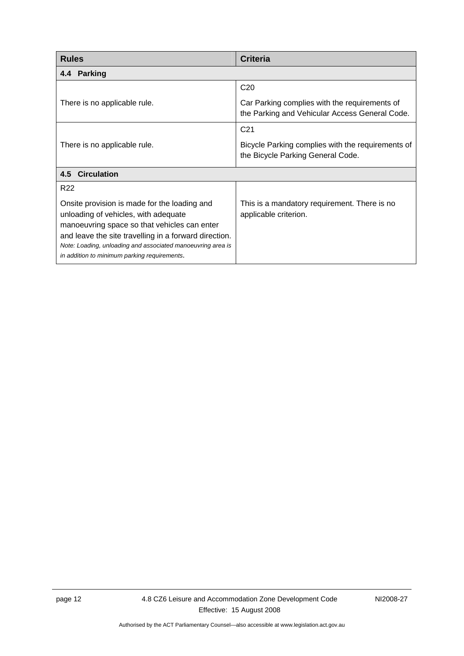<span id="page-15-0"></span>

| <b>Rules</b>                                                                                                                                                                                                                                                                                                 | <b>Criteria</b>                                                                                 |  |  |
|--------------------------------------------------------------------------------------------------------------------------------------------------------------------------------------------------------------------------------------------------------------------------------------------------------------|-------------------------------------------------------------------------------------------------|--|--|
| <b>Parking</b><br>4.4                                                                                                                                                                                                                                                                                        |                                                                                                 |  |  |
|                                                                                                                                                                                                                                                                                                              | C <sub>20</sub>                                                                                 |  |  |
| There is no applicable rule.                                                                                                                                                                                                                                                                                 | Car Parking complies with the requirements of<br>the Parking and Vehicular Access General Code. |  |  |
|                                                                                                                                                                                                                                                                                                              | C <sub>21</sub>                                                                                 |  |  |
| There is no applicable rule.                                                                                                                                                                                                                                                                                 | Bicycle Parking complies with the requirements of<br>the Bicycle Parking General Code.          |  |  |
| 4.5 Circulation                                                                                                                                                                                                                                                                                              |                                                                                                 |  |  |
| R <sub>22</sub>                                                                                                                                                                                                                                                                                              |                                                                                                 |  |  |
| Onsite provision is made for the loading and<br>unloading of vehicles, with adequate<br>manoeuvring space so that vehicles can enter<br>and leave the site travelling in a forward direction.<br>Note: Loading, unloading and associated manoeuvring area is<br>in addition to minimum parking requirements. | This is a mandatory requirement. There is no<br>applicable criterion.                           |  |  |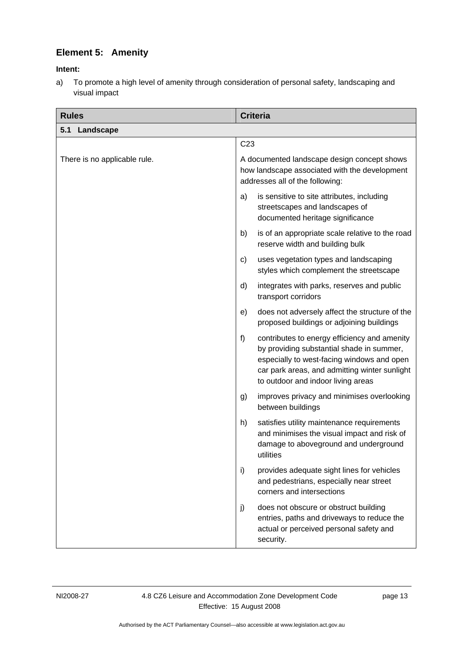# <span id="page-16-0"></span>**Element 5: Amenity**

## **Intent:**

a) To promote a high level of amenity through consideration of personal safety, landscaping and visual impact

| <b>Rules</b>                 | <b>Criteria</b>                                                                                                                                                                                                                      |  |
|------------------------------|--------------------------------------------------------------------------------------------------------------------------------------------------------------------------------------------------------------------------------------|--|
| 5.1 Landscape                |                                                                                                                                                                                                                                      |  |
|                              | C <sub>23</sub>                                                                                                                                                                                                                      |  |
| There is no applicable rule. | A documented landscape design concept shows<br>how landscape associated with the development<br>addresses all of the following:                                                                                                      |  |
|                              | is sensitive to site attributes, including<br>a)<br>streetscapes and landscapes of<br>documented heritage significance                                                                                                               |  |
|                              | is of an appropriate scale relative to the road<br>b)<br>reserve width and building bulk                                                                                                                                             |  |
|                              | uses vegetation types and landscaping<br>C)<br>styles which complement the streetscape                                                                                                                                               |  |
|                              | integrates with parks, reserves and public<br>d)<br>transport corridors                                                                                                                                                              |  |
|                              | does not adversely affect the structure of the<br>e)<br>proposed buildings or adjoining buildings                                                                                                                                    |  |
|                              | f)<br>contributes to energy efficiency and amenity<br>by providing substantial shade in summer,<br>especially to west-facing windows and open<br>car park areas, and admitting winter sunlight<br>to outdoor and indoor living areas |  |
|                              | improves privacy and minimises overlooking<br>g)<br>between buildings                                                                                                                                                                |  |
|                              | h)<br>satisfies utility maintenance requirements<br>and minimises the visual impact and risk of<br>damage to aboveground and underground<br>utilities                                                                                |  |
|                              | i)<br>provides adequate sight lines for vehicles<br>and pedestrians, especially near street<br>corners and intersections                                                                                                             |  |
|                              | does not obscure or obstruct building<br>j)<br>entries, paths and driveways to reduce the<br>actual or perceived personal safety and<br>security.                                                                                    |  |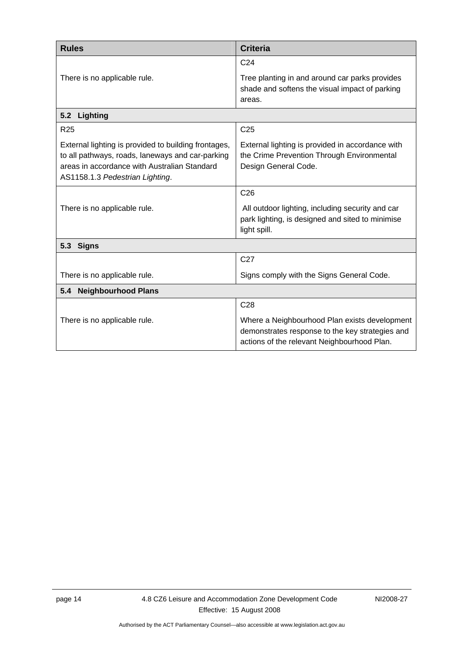<span id="page-17-0"></span>

| <b>Rules</b>                                                                                                                                                                                | <b>Criteria</b>                                                                                                                                 |  |
|---------------------------------------------------------------------------------------------------------------------------------------------------------------------------------------------|-------------------------------------------------------------------------------------------------------------------------------------------------|--|
|                                                                                                                                                                                             | C <sub>24</sub>                                                                                                                                 |  |
| There is no applicable rule.                                                                                                                                                                | Tree planting in and around car parks provides<br>shade and softens the visual impact of parking<br>areas.                                      |  |
| 5.2<br>Lighting                                                                                                                                                                             |                                                                                                                                                 |  |
| R <sub>25</sub>                                                                                                                                                                             | C <sub>25</sub>                                                                                                                                 |  |
| External lighting is provided to building frontages,<br>to all pathways, roads, laneways and car-parking<br>areas in accordance with Australian Standard<br>AS1158.1.3 Pedestrian Lighting. | External lighting is provided in accordance with<br>the Crime Prevention Through Environmental<br>Design General Code.                          |  |
|                                                                                                                                                                                             | C <sub>26</sub>                                                                                                                                 |  |
| There is no applicable rule.                                                                                                                                                                | All outdoor lighting, including security and car<br>park lighting, is designed and sited to minimise<br>light spill.                            |  |
| 5.3<br><b>Signs</b>                                                                                                                                                                         |                                                                                                                                                 |  |
|                                                                                                                                                                                             | C <sub>27</sub>                                                                                                                                 |  |
| There is no applicable rule.                                                                                                                                                                | Signs comply with the Signs General Code.                                                                                                       |  |
| <b>Neighbourhood Plans</b><br>5.4                                                                                                                                                           |                                                                                                                                                 |  |
|                                                                                                                                                                                             | C <sub>28</sub>                                                                                                                                 |  |
| There is no applicable rule.                                                                                                                                                                | Where a Neighbourhood Plan exists development<br>demonstrates response to the key strategies and<br>actions of the relevant Neighbourhood Plan. |  |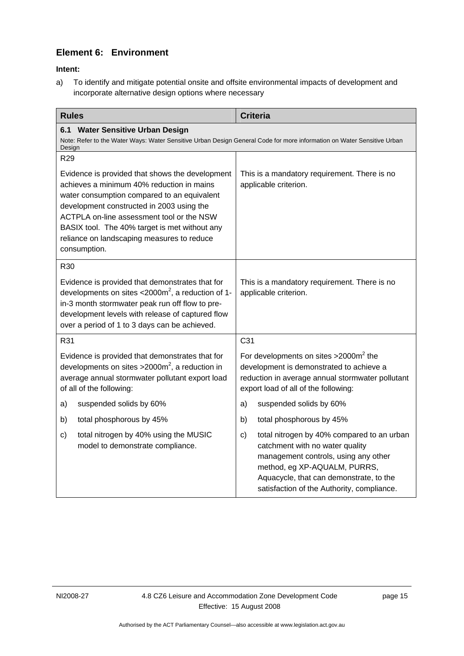# <span id="page-18-0"></span>**Element 6: Environment**

### **Intent:**

a) To identify and mitigate potential onsite and offsite environmental impacts of development and incorporate alternative design options where necessary

| <b>Rules</b>                                                                                                                                                         |                                                                                                                                                                                                                                                                                                                                                      |                 | <b>Criteria</b>                                                                                                                                                                                                                                |
|----------------------------------------------------------------------------------------------------------------------------------------------------------------------|------------------------------------------------------------------------------------------------------------------------------------------------------------------------------------------------------------------------------------------------------------------------------------------------------------------------------------------------------|-----------------|------------------------------------------------------------------------------------------------------------------------------------------------------------------------------------------------------------------------------------------------|
| 6.1 Water Sensitive Urban Design<br>Note: Refer to the Water Ways: Water Sensitive Urban Design General Code for more information on Water Sensitive Urban<br>Design |                                                                                                                                                                                                                                                                                                                                                      |                 |                                                                                                                                                                                                                                                |
| R <sub>29</sub>                                                                                                                                                      |                                                                                                                                                                                                                                                                                                                                                      |                 |                                                                                                                                                                                                                                                |
|                                                                                                                                                                      | Evidence is provided that shows the development<br>achieves a minimum 40% reduction in mains<br>water consumption compared to an equivalent<br>development constructed in 2003 using the<br>ACTPLA on-line assessment tool or the NSW<br>BASIX tool. The 40% target is met without any<br>reliance on landscaping measures to reduce<br>consumption. |                 | This is a mandatory requirement. There is no<br>applicable criterion.                                                                                                                                                                          |
| R30                                                                                                                                                                  |                                                                                                                                                                                                                                                                                                                                                      |                 |                                                                                                                                                                                                                                                |
|                                                                                                                                                                      | Evidence is provided that demonstrates that for<br>developments on sites $<$ 2000m <sup>2</sup> , a reduction of 1-<br>in-3 month stormwater peak run off flow to pre-<br>development levels with release of captured flow<br>over a period of 1 to 3 days can be achieved.                                                                          |                 | This is a mandatory requirement. There is no<br>applicable criterion.                                                                                                                                                                          |
| R31                                                                                                                                                                  |                                                                                                                                                                                                                                                                                                                                                      | C <sub>31</sub> |                                                                                                                                                                                                                                                |
|                                                                                                                                                                      | Evidence is provided that demonstrates that for<br>developments on sites > $2000m^2$ , a reduction in<br>average annual stormwater pollutant export load<br>of all of the following:                                                                                                                                                                 |                 | For developments on sites $>2000m^2$ the<br>development is demonstrated to achieve a<br>reduction in average annual stormwater pollutant<br>export load of all of the following:                                                               |
| a)                                                                                                                                                                   | suspended solids by 60%                                                                                                                                                                                                                                                                                                                              | a)              | suspended solids by 60%                                                                                                                                                                                                                        |
| b)                                                                                                                                                                   | total phosphorous by 45%                                                                                                                                                                                                                                                                                                                             | b)              | total phosphorous by 45%                                                                                                                                                                                                                       |
| c)                                                                                                                                                                   | total nitrogen by 40% using the MUSIC<br>model to demonstrate compliance.                                                                                                                                                                                                                                                                            | c)              | total nitrogen by 40% compared to an urban<br>catchment with no water quality<br>management controls, using any other<br>method, eg XP-AQUALM, PURRS,<br>Aquacycle, that can demonstrate, to the<br>satisfaction of the Authority, compliance. |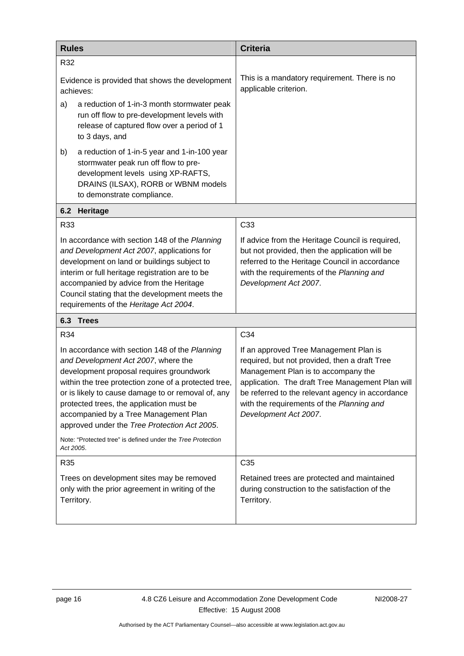<span id="page-19-0"></span>

| <b>Rules</b> |                                                                                                                                                                                                                                                                                                                                                                                      | <b>Criteria</b>                                                                                                                                                                                                                                                                                              |
|--------------|--------------------------------------------------------------------------------------------------------------------------------------------------------------------------------------------------------------------------------------------------------------------------------------------------------------------------------------------------------------------------------------|--------------------------------------------------------------------------------------------------------------------------------------------------------------------------------------------------------------------------------------------------------------------------------------------------------------|
| R32          |                                                                                                                                                                                                                                                                                                                                                                                      |                                                                                                                                                                                                                                                                                                              |
|              | Evidence is provided that shows the development<br>achieves:                                                                                                                                                                                                                                                                                                                         | This is a mandatory requirement. There is no<br>applicable criterion.                                                                                                                                                                                                                                        |
| a)           | a reduction of 1-in-3 month stormwater peak<br>run off flow to pre-development levels with<br>release of captured flow over a period of 1<br>to 3 days, and                                                                                                                                                                                                                          |                                                                                                                                                                                                                                                                                                              |
| b)           | a reduction of 1-in-5 year and 1-in-100 year<br>stormwater peak run off flow to pre-<br>development levels using XP-RAFTS,<br>DRAINS (ILSAX), RORB or WBNM models<br>to demonstrate compliance.                                                                                                                                                                                      |                                                                                                                                                                                                                                                                                                              |
| 6.2          | Heritage                                                                                                                                                                                                                                                                                                                                                                             |                                                                                                                                                                                                                                                                                                              |
| R33          |                                                                                                                                                                                                                                                                                                                                                                                      | C33                                                                                                                                                                                                                                                                                                          |
|              | In accordance with section 148 of the Planning<br>and Development Act 2007, applications for<br>development on land or buildings subject to<br>interim or full heritage registration are to be<br>accompanied by advice from the Heritage<br>Council stating that the development meets the<br>requirements of the Heritage Act 2004.                                                | If advice from the Heritage Council is required,<br>but not provided, then the application will be<br>referred to the Heritage Council in accordance<br>with the requirements of the Planning and<br>Development Act 2007.                                                                                   |
| 6.3          | <b>Trees</b>                                                                                                                                                                                                                                                                                                                                                                         |                                                                                                                                                                                                                                                                                                              |
| R34          |                                                                                                                                                                                                                                                                                                                                                                                      | C34                                                                                                                                                                                                                                                                                                          |
|              | In accordance with section 148 of the Planning<br>and Development Act 2007, where the<br>development proposal requires groundwork<br>within the tree protection zone of a protected tree,<br>or is likely to cause damage to or removal of, any<br>protected trees, the application must be<br>accompanied by a Tree Management Plan<br>approved under the Tree Protection Act 2005. | If an approved Tree Management Plan is<br>required, but not provided, then a draft Tree<br>Management Plan is to accompany the<br>application. The draft Tree Management Plan will<br>be referred to the relevant agency in accordance<br>with the requirements of the Planning and<br>Development Act 2007. |
| Act 2005.    | Note: "Protected tree" is defined under the Tree Protection                                                                                                                                                                                                                                                                                                                          |                                                                                                                                                                                                                                                                                                              |
| R35          |                                                                                                                                                                                                                                                                                                                                                                                      | C <sub>35</sub>                                                                                                                                                                                                                                                                                              |
|              | Trees on development sites may be removed<br>only with the prior agreement in writing of the<br>Territory.                                                                                                                                                                                                                                                                           | Retained trees are protected and maintained<br>during construction to the satisfaction of the<br>Territory.                                                                                                                                                                                                  |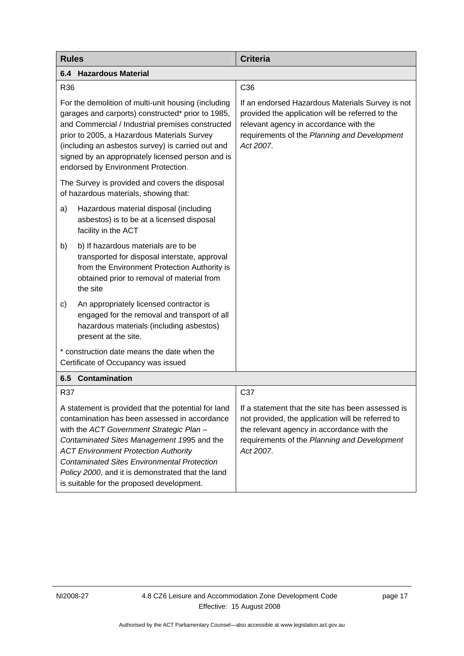<span id="page-20-0"></span>

| <b>Rules</b>                                                                                                                                                                                                                                                                                                                                                                                          | <b>Criteria</b>                                                                                                                                                                                                   |
|-------------------------------------------------------------------------------------------------------------------------------------------------------------------------------------------------------------------------------------------------------------------------------------------------------------------------------------------------------------------------------------------------------|-------------------------------------------------------------------------------------------------------------------------------------------------------------------------------------------------------------------|
| <b>Hazardous Material</b><br>6.4                                                                                                                                                                                                                                                                                                                                                                      |                                                                                                                                                                                                                   |
| R36                                                                                                                                                                                                                                                                                                                                                                                                   | C36                                                                                                                                                                                                               |
| For the demolition of multi-unit housing (including<br>garages and carports) constructed* prior to 1985,<br>and Commercial / Industrial premises constructed<br>prior to 2005, a Hazardous Materials Survey<br>(including an asbestos survey) is carried out and<br>signed by an appropriately licensed person and is<br>endorsed by Environment Protection.                                          | If an endorsed Hazardous Materials Survey is not<br>provided the application will be referred to the<br>relevant agency in accordance with the<br>requirements of the Planning and Development<br>Act 2007.       |
| The Survey is provided and covers the disposal<br>of hazardous materials, showing that:                                                                                                                                                                                                                                                                                                               |                                                                                                                                                                                                                   |
| Hazardous material disposal (including<br>a)<br>asbestos) is to be at a licensed disposal<br>facility in the ACT                                                                                                                                                                                                                                                                                      |                                                                                                                                                                                                                   |
| b) If hazardous materials are to be<br>b)<br>transported for disposal interstate, approval<br>from the Environment Protection Authority is<br>obtained prior to removal of material from<br>the site                                                                                                                                                                                                  |                                                                                                                                                                                                                   |
| An appropriately licensed contractor is<br>c)<br>engaged for the removal and transport of all<br>hazardous materials (including asbestos)<br>present at the site.                                                                                                                                                                                                                                     |                                                                                                                                                                                                                   |
| * construction date means the date when the<br>Certificate of Occupancy was issued                                                                                                                                                                                                                                                                                                                    |                                                                                                                                                                                                                   |
| <b>Contamination</b><br>6.5                                                                                                                                                                                                                                                                                                                                                                           |                                                                                                                                                                                                                   |
| R37                                                                                                                                                                                                                                                                                                                                                                                                   | C37                                                                                                                                                                                                               |
| A statement is provided that the potential for land<br>contamination has been assessed in accordance<br>with the ACT Government Strategic Plan -<br>Contaminated Sites Management 1995 and the<br><b>ACT Environment Protection Authority</b><br><b>Contaminated Sites Environmental Protection</b><br>Policy 2000, and it is demonstrated that the land<br>is suitable for the proposed development. | If a statement that the site has been assessed is<br>not provided, the application will be referred to<br>the relevant agency in accordance with the<br>requirements of the Planning and Development<br>Act 2007. |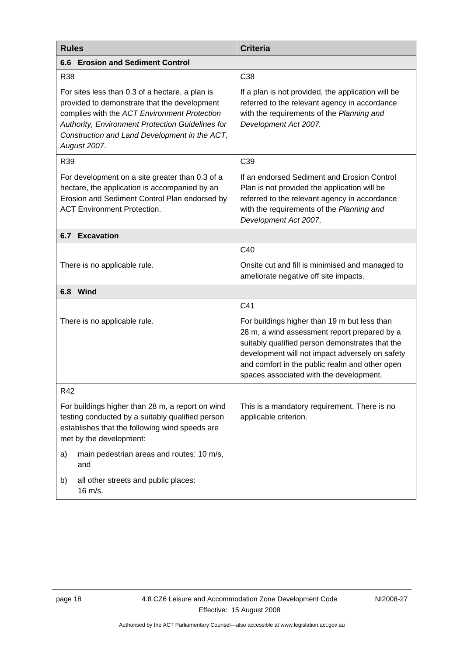<span id="page-21-0"></span>

| <b>Rules</b>                                                                                                                                                                                                                                                         | <b>Criteria</b>                                                                                                                                                                                                                                                                                        |  |
|----------------------------------------------------------------------------------------------------------------------------------------------------------------------------------------------------------------------------------------------------------------------|--------------------------------------------------------------------------------------------------------------------------------------------------------------------------------------------------------------------------------------------------------------------------------------------------------|--|
| <b>Erosion and Sediment Control</b><br>6.6                                                                                                                                                                                                                           |                                                                                                                                                                                                                                                                                                        |  |
| <b>R38</b>                                                                                                                                                                                                                                                           | C38                                                                                                                                                                                                                                                                                                    |  |
| For sites less than 0.3 of a hectare, a plan is<br>provided to demonstrate that the development<br>complies with the ACT Environment Protection<br>Authority, Environment Protection Guidelines for<br>Construction and Land Development in the ACT,<br>August 2007. | If a plan is not provided, the application will be<br>referred to the relevant agency in accordance<br>with the requirements of the Planning and<br>Development Act 2007.                                                                                                                              |  |
| R39                                                                                                                                                                                                                                                                  | C39                                                                                                                                                                                                                                                                                                    |  |
| For development on a site greater than 0.3 of a<br>hectare, the application is accompanied by an<br>Erosion and Sediment Control Plan endorsed by<br><b>ACT Environment Protection.</b>                                                                              | If an endorsed Sediment and Erosion Control<br>Plan is not provided the application will be<br>referred to the relevant agency in accordance<br>with the requirements of the Planning and<br>Development Act 2007.                                                                                     |  |
| <b>6.7 Excavation</b>                                                                                                                                                                                                                                                |                                                                                                                                                                                                                                                                                                        |  |
|                                                                                                                                                                                                                                                                      | C40                                                                                                                                                                                                                                                                                                    |  |
| There is no applicable rule.                                                                                                                                                                                                                                         | Onsite cut and fill is minimised and managed to<br>ameliorate negative off site impacts.                                                                                                                                                                                                               |  |
| 6.8 Wind                                                                                                                                                                                                                                                             |                                                                                                                                                                                                                                                                                                        |  |
| There is no applicable rule.                                                                                                                                                                                                                                         | C41<br>For buildings higher than 19 m but less than<br>28 m, a wind assessment report prepared by a<br>suitably qualified person demonstrates that the<br>development will not impact adversely on safety<br>and comfort in the public realm and other open<br>spaces associated with the development. |  |
| R42                                                                                                                                                                                                                                                                  |                                                                                                                                                                                                                                                                                                        |  |
| For buildings higher than 28 m, a report on wind<br>testing conducted by a suitably qualified person<br>establishes that the following wind speeds are<br>met by the development:                                                                                    | This is a mandatory requirement. There is no<br>applicable criterion.                                                                                                                                                                                                                                  |  |
| main pedestrian areas and routes: 10 m/s,<br>a)<br>and                                                                                                                                                                                                               |                                                                                                                                                                                                                                                                                                        |  |
| all other streets and public places:<br>b)<br>16 m/s.                                                                                                                                                                                                                |                                                                                                                                                                                                                                                                                                        |  |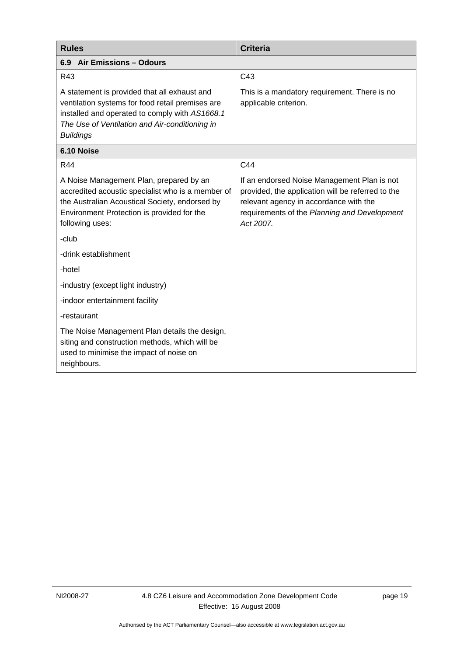<span id="page-22-0"></span>

| <b>Rules</b>                                                                                                                                                                                                             | <b>Criteria</b>                                                                                                                                                                                         |  |
|--------------------------------------------------------------------------------------------------------------------------------------------------------------------------------------------------------------------------|---------------------------------------------------------------------------------------------------------------------------------------------------------------------------------------------------------|--|
| <b>Air Emissions - Odours</b><br>6.9                                                                                                                                                                                     |                                                                                                                                                                                                         |  |
| R43                                                                                                                                                                                                                      | C43                                                                                                                                                                                                     |  |
| A statement is provided that all exhaust and<br>ventilation systems for food retail premises are<br>installed and operated to comply with AS1668.1<br>The Use of Ventilation and Air-conditioning in<br><b>Buildings</b> | This is a mandatory requirement. There is no<br>applicable criterion.                                                                                                                                   |  |
| 6.10 Noise                                                                                                                                                                                                               |                                                                                                                                                                                                         |  |
| <b>R44</b>                                                                                                                                                                                                               | C44                                                                                                                                                                                                     |  |
| A Noise Management Plan, prepared by an<br>accredited acoustic specialist who is a member of<br>the Australian Acoustical Society, endorsed by<br>Environment Protection is provided for the<br>following uses:          | If an endorsed Noise Management Plan is not<br>provided, the application will be referred to the<br>relevant agency in accordance with the<br>requirements of the Planning and Development<br>Act 2007. |  |
| -club                                                                                                                                                                                                                    |                                                                                                                                                                                                         |  |
| -drink establishment                                                                                                                                                                                                     |                                                                                                                                                                                                         |  |
| -hotel                                                                                                                                                                                                                   |                                                                                                                                                                                                         |  |
| -industry (except light industry)                                                                                                                                                                                        |                                                                                                                                                                                                         |  |
| -indoor entertainment facility                                                                                                                                                                                           |                                                                                                                                                                                                         |  |
| -restaurant                                                                                                                                                                                                              |                                                                                                                                                                                                         |  |
| The Noise Management Plan details the design,<br>siting and construction methods, which will be<br>used to minimise the impact of noise on<br>neighbours.                                                                |                                                                                                                                                                                                         |  |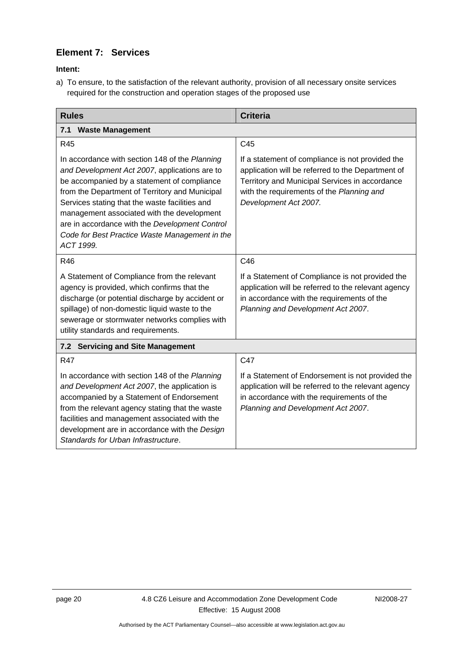# <span id="page-23-0"></span>**Element 7: Services**

**Intent:** 

a) To ensure, to the satisfaction of the relevant authority, provision of all necessary onsite services required for the construction and operation stages of the proposed use

| <b>Rules</b>                                                                                                                                                                                                                                                                                                                                                                                                      | <b>Criteria</b>                                                                                                                                                                                                               |
|-------------------------------------------------------------------------------------------------------------------------------------------------------------------------------------------------------------------------------------------------------------------------------------------------------------------------------------------------------------------------------------------------------------------|-------------------------------------------------------------------------------------------------------------------------------------------------------------------------------------------------------------------------------|
| 7.1 Waste Management                                                                                                                                                                                                                                                                                                                                                                                              |                                                                                                                                                                                                                               |
| R45                                                                                                                                                                                                                                                                                                                                                                                                               | C45                                                                                                                                                                                                                           |
| In accordance with section 148 of the Planning<br>and Development Act 2007, applications are to<br>be accompanied by a statement of compliance<br>from the Department of Territory and Municipal<br>Services stating that the waste facilities and<br>management associated with the development<br>are in accordance with the Development Control<br>Code for Best Practice Waste Management in the<br>ACT 1999. | If a statement of compliance is not provided the<br>application will be referred to the Department of<br>Territory and Municipal Services in accordance<br>with the requirements of the Planning and<br>Development Act 2007. |
| R46                                                                                                                                                                                                                                                                                                                                                                                                               | C46                                                                                                                                                                                                                           |
| A Statement of Compliance from the relevant<br>agency is provided, which confirms that the<br>discharge (or potential discharge by accident or<br>spillage) of non-domestic liquid waste to the<br>sewerage or stormwater networks complies with<br>utility standards and requirements.                                                                                                                           | If a Statement of Compliance is not provided the<br>application will be referred to the relevant agency<br>in accordance with the requirements of the<br>Planning and Development Act 2007.                                   |
| 7.2 Servicing and Site Management                                                                                                                                                                                                                                                                                                                                                                                 |                                                                                                                                                                                                                               |
| <b>R47</b>                                                                                                                                                                                                                                                                                                                                                                                                        | C47                                                                                                                                                                                                                           |
| In accordance with section 148 of the Planning<br>and Development Act 2007, the application is<br>accompanied by a Statement of Endorsement<br>from the relevant agency stating that the waste<br>facilities and management associated with the<br>development are in accordance with the Design<br>Standards for Urban Infrastructure.                                                                           | If a Statement of Endorsement is not provided the<br>application will be referred to the relevant agency<br>in accordance with the requirements of the<br>Planning and Development Act 2007.                                  |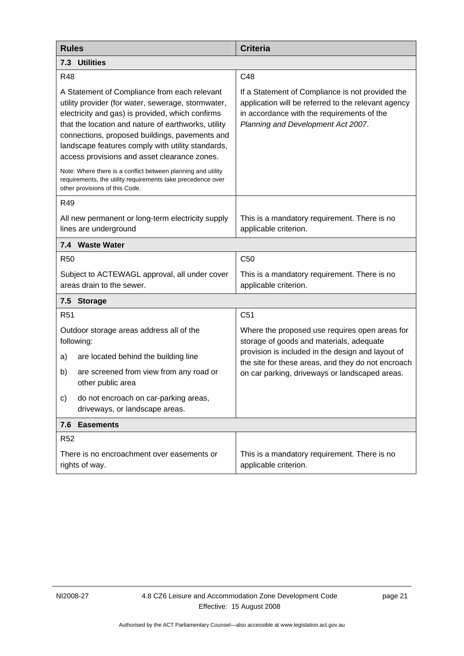<span id="page-24-0"></span>

| <b>Rules</b>                                                                                                                                                                                                                                                                                                                                                         | <b>Criteria</b>                                                                                                                                                                             |  |
|----------------------------------------------------------------------------------------------------------------------------------------------------------------------------------------------------------------------------------------------------------------------------------------------------------------------------------------------------------------------|---------------------------------------------------------------------------------------------------------------------------------------------------------------------------------------------|--|
| 7.3 Utilities                                                                                                                                                                                                                                                                                                                                                        |                                                                                                                                                                                             |  |
| <b>R48</b>                                                                                                                                                                                                                                                                                                                                                           | C48                                                                                                                                                                                         |  |
| A Statement of Compliance from each relevant<br>utility provider (for water, sewerage, stormwater,<br>electricity and gas) is provided, which confirms<br>that the location and nature of earthworks, utility<br>connections, proposed buildings, pavements and<br>landscape features comply with utility standards,<br>access provisions and asset clearance zones. | If a Statement of Compliance is not provided the<br>application will be referred to the relevant agency<br>in accordance with the requirements of the<br>Planning and Development Act 2007. |  |
| Note: Where there is a conflict between planning and utility<br>requirements, the utility requirements take precedence over<br>other provisions of this Code.                                                                                                                                                                                                        |                                                                                                                                                                                             |  |
| R49                                                                                                                                                                                                                                                                                                                                                                  |                                                                                                                                                                                             |  |
| All new permanent or long-term electricity supply<br>lines are underground                                                                                                                                                                                                                                                                                           | This is a mandatory requirement. There is no<br>applicable criterion.                                                                                                                       |  |
| 7.4 Waste Water                                                                                                                                                                                                                                                                                                                                                      |                                                                                                                                                                                             |  |
| <b>R50</b>                                                                                                                                                                                                                                                                                                                                                           | C <sub>50</sub>                                                                                                                                                                             |  |
| Subject to ACTEWAGL approval, all under cover<br>areas drain to the sewer.                                                                                                                                                                                                                                                                                           | This is a mandatory requirement. There is no<br>applicable criterion.                                                                                                                       |  |
| 7.5<br><b>Storage</b>                                                                                                                                                                                                                                                                                                                                                |                                                                                                                                                                                             |  |
| R <sub>51</sub>                                                                                                                                                                                                                                                                                                                                                      | C <sub>51</sub>                                                                                                                                                                             |  |
| Outdoor storage areas address all of the<br>following:                                                                                                                                                                                                                                                                                                               | Where the proposed use requires open areas for<br>storage of goods and materials, adequate                                                                                                  |  |
| a)<br>are located behind the building line                                                                                                                                                                                                                                                                                                                           | provision is included in the design and layout of<br>the site for these areas, and they do not encroach                                                                                     |  |
| are screened from view from any road or<br>b)<br>other public area                                                                                                                                                                                                                                                                                                   | on car parking, driveways or landscaped areas.                                                                                                                                              |  |
| do not encroach on car-parking areas,<br>C)<br>driveways, or landscape areas.                                                                                                                                                                                                                                                                                        |                                                                                                                                                                                             |  |
| <b>Easements</b><br>7.6                                                                                                                                                                                                                                                                                                                                              |                                                                                                                                                                                             |  |
| <b>R52</b>                                                                                                                                                                                                                                                                                                                                                           |                                                                                                                                                                                             |  |
| There is no encroachment over easements or<br>rights of way.                                                                                                                                                                                                                                                                                                         | This is a mandatory requirement. There is no<br>applicable criterion.                                                                                                                       |  |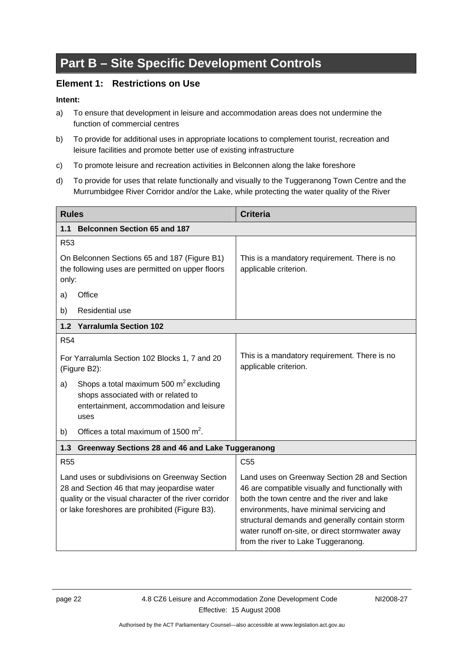# <span id="page-25-0"></span>**Part B – Site Specific Development Controls**

# **Element 1: Restrictions on Use**

- a) To ensure that development in leisure and accommodation areas does not undermine the function of commercial centres
- b) To provide for additional uses in appropriate locations to complement tourist, recreation and leisure facilities and promote better use of existing infrastructure
- c) To promote leisure and recreation activities in Belconnen along the lake foreshore
- d) To provide for uses that relate functionally and visually to the Tuggeranong Town Centre and the Murrumbidgee River Corridor and/or the Lake, while protecting the water quality of the River

| <b>Rules</b>                                                                                                                                                                                            | <b>Criteria</b>                                                                                                                                                                                                                                                                                                                         |
|---------------------------------------------------------------------------------------------------------------------------------------------------------------------------------------------------------|-----------------------------------------------------------------------------------------------------------------------------------------------------------------------------------------------------------------------------------------------------------------------------------------------------------------------------------------|
| <b>Belconnen Section 65 and 187</b><br>1.1                                                                                                                                                              |                                                                                                                                                                                                                                                                                                                                         |
| R <sub>53</sub>                                                                                                                                                                                         |                                                                                                                                                                                                                                                                                                                                         |
| On Belconnen Sections 65 and 187 (Figure B1)<br>the following uses are permitted on upper floors<br>only:                                                                                               | This is a mandatory requirement. There is no<br>applicable criterion.                                                                                                                                                                                                                                                                   |
| Office<br>a)                                                                                                                                                                                            |                                                                                                                                                                                                                                                                                                                                         |
| <b>Residential use</b><br>b)                                                                                                                                                                            |                                                                                                                                                                                                                                                                                                                                         |
| 1.2 Yarralumla Section 102                                                                                                                                                                              |                                                                                                                                                                                                                                                                                                                                         |
| <b>R54</b>                                                                                                                                                                                              |                                                                                                                                                                                                                                                                                                                                         |
| For Yarralumla Section 102 Blocks 1, 7 and 20<br>(Figure B2):                                                                                                                                           | This is a mandatory requirement. There is no<br>applicable criterion.                                                                                                                                                                                                                                                                   |
| Shops a total maximum 500 $m^2$ excluding<br>a)<br>shops associated with or related to<br>entertainment, accommodation and leisure<br>uses                                                              |                                                                                                                                                                                                                                                                                                                                         |
| Offices a total maximum of 1500 $m^2$ .<br>b)                                                                                                                                                           |                                                                                                                                                                                                                                                                                                                                         |
| Greenway Sections 28 and 46 and Lake Tuggeranong<br>1.3                                                                                                                                                 |                                                                                                                                                                                                                                                                                                                                         |
| <b>R55</b>                                                                                                                                                                                              | C <sub>55</sub>                                                                                                                                                                                                                                                                                                                         |
| Land uses or subdivisions on Greenway Section<br>28 and Section 46 that may jeopardise water<br>quality or the visual character of the river corridor<br>or lake foreshores are prohibited (Figure B3). | Land uses on Greenway Section 28 and Section<br>46 are compatible visually and functionally with<br>both the town centre and the river and lake<br>environments, have minimal servicing and<br>structural demands and generally contain storm<br>water runoff on-site, or direct stormwater away<br>from the river to Lake Tuggeranong. |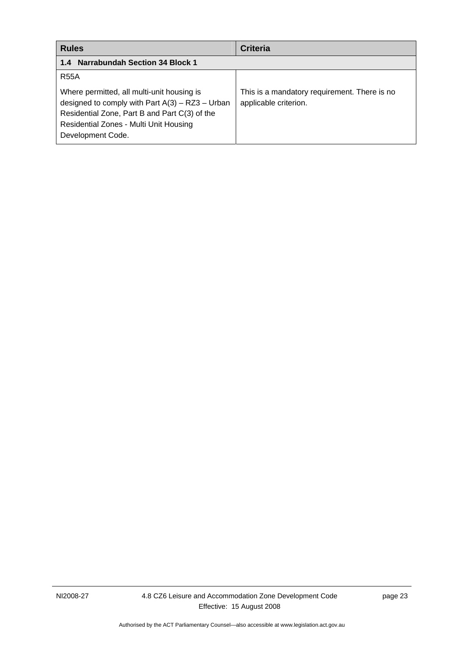<span id="page-26-0"></span>

| <b>Rules</b>                                                                                                                                                                                                    | <b>Criteria</b>                                                       |
|-----------------------------------------------------------------------------------------------------------------------------------------------------------------------------------------------------------------|-----------------------------------------------------------------------|
| 1.4 Narrabundah Section 34 Block 1                                                                                                                                                                              |                                                                       |
| <b>R55A</b>                                                                                                                                                                                                     |                                                                       |
| Where permitted, all multi-unit housing is<br>designed to comply with Part $A(3) - RZ3 - Urban$<br>Residential Zone, Part B and Part C(3) of the<br>Residential Zones - Multi Unit Housing<br>Development Code. | This is a mandatory requirement. There is no<br>applicable criterion. |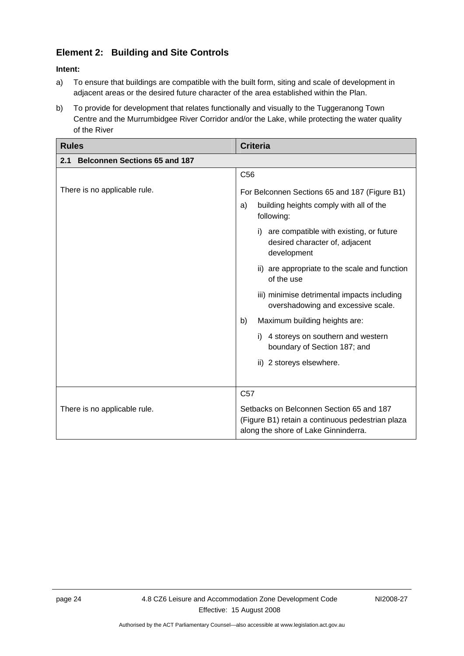# <span id="page-27-0"></span>**Element 2: Building and Site Controls**

- a) To ensure that buildings are compatible with the built form, siting and scale of development in adjacent areas or the desired future character of the area established within the Plan.
- b) To provide for development that relates functionally and visually to the Tuggeranong Town Centre and the Murrumbidgee River Corridor and/or the Lake, while protecting the water quality of the River

| <b>Rules</b>                                | <b>Criteria</b>                                                                                                                                                                                                                                                                                                                                                                                                                                       |
|---------------------------------------------|-------------------------------------------------------------------------------------------------------------------------------------------------------------------------------------------------------------------------------------------------------------------------------------------------------------------------------------------------------------------------------------------------------------------------------------------------------|
| <b>Belconnen Sections 65 and 187</b><br>2.1 |                                                                                                                                                                                                                                                                                                                                                                                                                                                       |
|                                             | C <sub>56</sub>                                                                                                                                                                                                                                                                                                                                                                                                                                       |
| There is no applicable rule.                | For Belconnen Sections 65 and 187 (Figure B1)<br>building heights comply with all of the<br>a)<br>following:<br>are compatible with existing, or future<br>i)<br>desired character of, adjacent<br>development<br>ii) are appropriate to the scale and function<br>of the use<br>iii) minimise detrimental impacts including<br>overshadowing and excessive scale.<br>Maximum building heights are:<br>b)<br>4 storeys on southern and western<br>i). |
|                                             | boundary of Section 187; and<br>ii) 2 storeys elsewhere.                                                                                                                                                                                                                                                                                                                                                                                              |
|                                             | C <sub>57</sub>                                                                                                                                                                                                                                                                                                                                                                                                                                       |
| There is no applicable rule.                | Setbacks on Belconnen Section 65 and 187<br>(Figure B1) retain a continuous pedestrian plaza<br>along the shore of Lake Ginninderra.                                                                                                                                                                                                                                                                                                                  |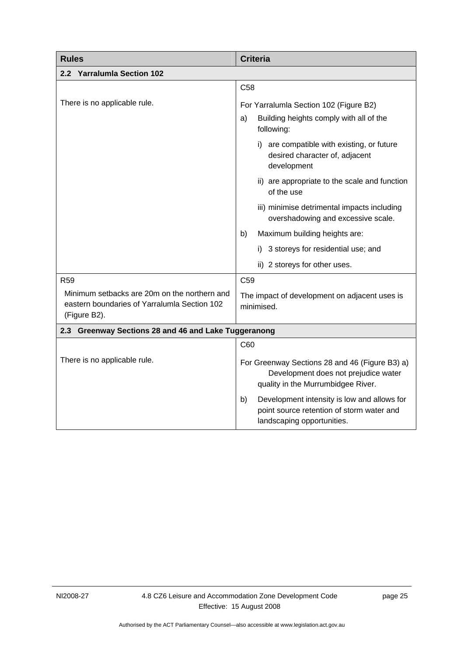<span id="page-28-0"></span>

| <b>Rules</b>                                                                                                 | <b>Criteria</b>                                                                                                              |  |
|--------------------------------------------------------------------------------------------------------------|------------------------------------------------------------------------------------------------------------------------------|--|
| 2.2 Yarralumla Section 102                                                                                   |                                                                                                                              |  |
|                                                                                                              | C <sub>58</sub>                                                                                                              |  |
| There is no applicable rule.                                                                                 | For Yarralumla Section 102 (Figure B2)                                                                                       |  |
|                                                                                                              | Building heights comply with all of the<br>a)<br>following:                                                                  |  |
|                                                                                                              | i) are compatible with existing, or future<br>desired character of, adjacent<br>development                                  |  |
|                                                                                                              | ii) are appropriate to the scale and function<br>of the use                                                                  |  |
|                                                                                                              | iii) minimise detrimental impacts including<br>overshadowing and excessive scale.                                            |  |
|                                                                                                              | Maximum building heights are:<br>b)                                                                                          |  |
|                                                                                                              | i) 3 storeys for residential use; and                                                                                        |  |
|                                                                                                              | ii) 2 storeys for other uses.                                                                                                |  |
| R <sub>59</sub>                                                                                              | C <sub>59</sub>                                                                                                              |  |
| Minimum setbacks are 20m on the northern and<br>eastern boundaries of Yarralumla Section 102<br>(Figure B2). | The impact of development on adjacent uses is<br>minimised.                                                                  |  |
| 2.3 Greenway Sections 28 and 46 and Lake Tuggeranong                                                         |                                                                                                                              |  |
|                                                                                                              | C60                                                                                                                          |  |
| There is no applicable rule.                                                                                 | For Greenway Sections 28 and 46 (Figure B3) a)<br>Development does not prejudice water<br>quality in the Murrumbidgee River. |  |
|                                                                                                              | Development intensity is low and allows for<br>b)<br>point source retention of storm water and<br>landscaping opportunities. |  |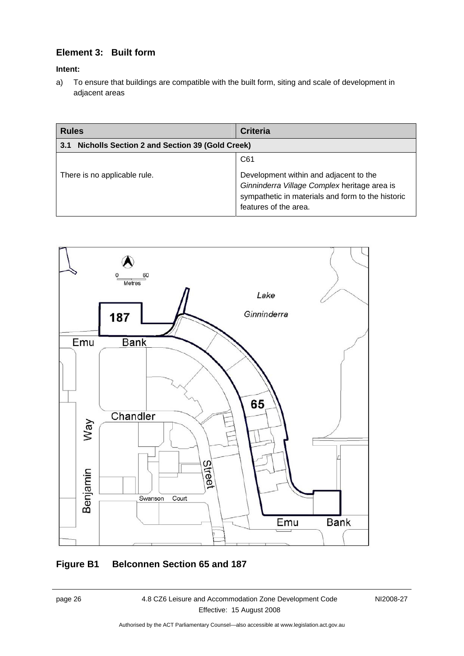# <span id="page-29-0"></span>**Element 3: Built form**

## **Intent:**

a) To ensure that buildings are compatible with the built form, siting and scale of development in adjacent areas

| <b>Rules</b>                                                 | <b>Criteria</b>                                                                                                                                                      |
|--------------------------------------------------------------|----------------------------------------------------------------------------------------------------------------------------------------------------------------------|
| <b>Nicholls Section 2 and Section 39 (Gold Creek)</b><br>3.1 |                                                                                                                                                                      |
|                                                              | C61                                                                                                                                                                  |
| There is no applicable rule.                                 | Development within and adjacent to the<br>Ginninderra Village Complex heritage area is<br>sympathetic in materials and form to the historic<br>features of the area. |



# **Figure B1 Belconnen Section 65 and 187**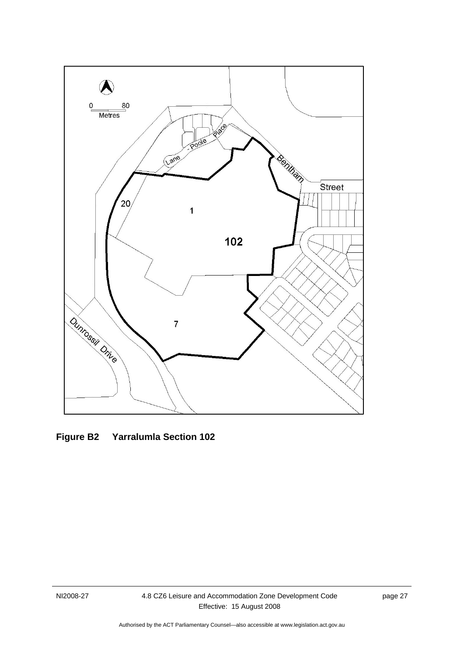